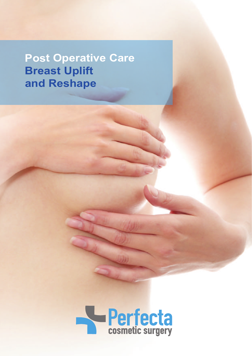**Post Operative Care Breast Uplift and Reshape**

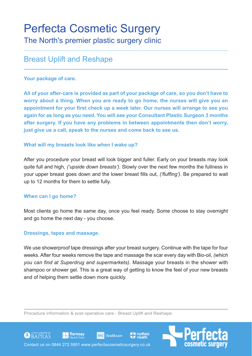# Breast Uplift and Reshape

## **Your package of care.**

**All of your after-care is provided as part of your package of care, so you don't have to worry about a thing. When you are ready to go home, the nurses will give you an appointment for your first check up a week later. Our nurses will arrange to see you again for as long as you need. You will see your Consultant Plastic Surgeon 3 months after surgery. If you have any problems in between appointments then don't worry, just give us a call, speak to the nurses and come back to see us.**

## **What will my breasts look like when I wake up?**

After you procedure your breast will look bigger and fuller. Early on your breasts may look quite full and high*, ('upside down breasts')*. Slowly over the next few months the fullness in your upper breast goes down and the lower breast fills out, *('fluffing')*. Be prepared to wait up to 12 months for them to settle fully.

# **When can I go home?**

Most clients go home the same day, once you feel ready. Some choose to stay overnight and go home the next day - you choose.

#### **Dressings, tapes and massage.**

We use showerproof tape dressings after your breast surgery. Continue with the tape for four weeks. After four weeks remove the tape and massage the scar every day with Bio-oil, *(which you can find at Superdrug and supermarkets)*. Massage your breasts in the shower with shampoo or shower gel. This is a great way of getting to know the feel of your new breasts and of helping them settle down more quickly.

**Nuffield** 

Procedure information & post operative care - Breast Uplift and Reshape.

**BMI** Healthcare





Ramsay

GOBAPRAS